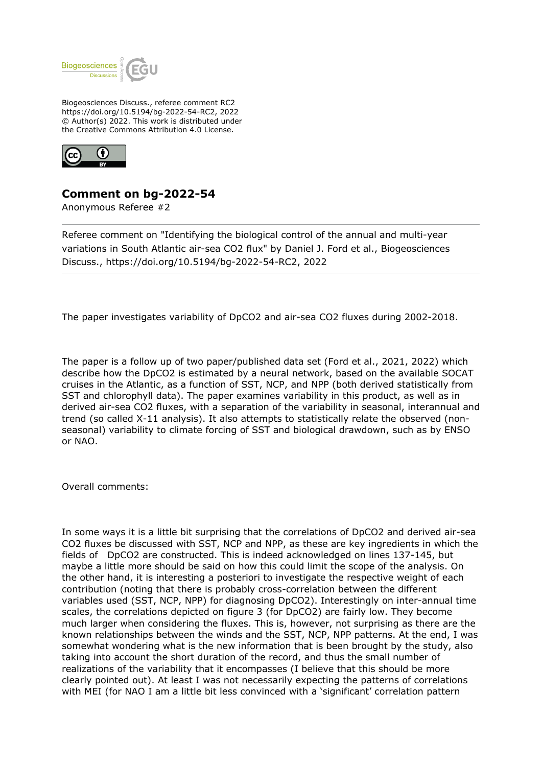

Biogeosciences Discuss., referee comment RC2 https://doi.org/10.5194/bg-2022-54-RC2, 2022 © Author(s) 2022. This work is distributed under the Creative Commons Attribution 4.0 License.



## **Comment on bg-2022-54**

Anonymous Referee #2

Referee comment on "Identifying the biological control of the annual and multi-year variations in South Atlantic air-sea CO2 flux" by Daniel J. Ford et al., Biogeosciences Discuss., https://doi.org/10.5194/bg-2022-54-RC2, 2022

The paper investigates variability of DpCO2 and air-sea CO2 fluxes during 2002-2018.

The paper is a follow up of two paper/published data set (Ford et al., 2021, 2022) which describe how the DpCO2 is estimated by a neural network, based on the available SOCAT cruises in the Atlantic, as a function of SST, NCP, and NPP (both derived statistically from SST and chlorophyll data). The paper examines variability in this product, as well as in derived air-sea CO2 fluxes, with a separation of the variability in seasonal, interannual and trend (so called X-11 analysis). It also attempts to statistically relate the observed (nonseasonal) variability to climate forcing of SST and biological drawdown, such as by ENSO or NAO.

Overall comments:

In some ways it is a little bit surprising that the correlations of DpCO2 and derived air-sea CO2 fluxes be discussed with SST, NCP and NPP, as these are key ingredients in which the fields of DpCO2 are constructed. This is indeed acknowledged on lines 137-145, but maybe a little more should be said on how this could limit the scope of the analysis. On the other hand, it is interesting a posteriori to investigate the respective weight of each contribution (noting that there is probably cross-correlation between the different variables used (SST, NCP, NPP) for diagnosing DpCO2). Interestingly on inter-annual time scales, the correlations depicted on figure 3 (for DpCO2) are fairly low. They become much larger when considering the fluxes. This is, however, not surprising as there are the known relationships between the winds and the SST, NCP, NPP patterns. At the end, I was somewhat wondering what is the new information that is been brought by the study, also taking into account the short duration of the record, and thus the small number of realizations of the variability that it encompasses (I believe that this should be more clearly pointed out). At least I was not necessarily expecting the patterns of correlations with MEI (for NAO I am a little bit less convinced with a 'significant' correlation pattern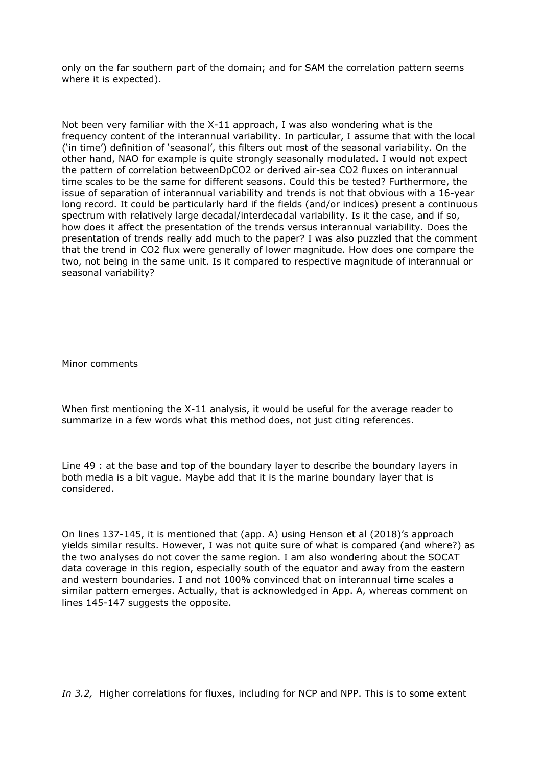only on the far southern part of the domain; and for SAM the correlation pattern seems where it is expected).

Not been very familiar with the X-11 approach, I was also wondering what is the frequency content of the interannual variability. In particular, I assume that with the local ('in time') definition of 'seasonal', this filters out most of the seasonal variability. On the other hand, NAO for example is quite strongly seasonally modulated. I would not expect the pattern of correlation betweenDpCO2 or derived air-sea CO2 fluxes on interannual time scales to be the same for different seasons. Could this be tested? Furthermore, the issue of separation of interannual variability and trends is not that obvious with a 16-year long record. It could be particularly hard if the fields (and/or indices) present a continuous spectrum with relatively large decadal/interdecadal variability. Is it the case, and if so, how does it affect the presentation of the trends versus interannual variability. Does the presentation of trends really add much to the paper? I was also puzzled that the comment that the trend in CO2 flux were generally of lower magnitude. How does one compare the two, not being in the same unit. Is it compared to respective magnitude of interannual or seasonal variability?

Minor comments

When first mentioning the X-11 analysis, it would be useful for the average reader to summarize in a few words what this method does, not just citing references.

Line 49 : at the base and top of the boundary layer to describe the boundary layers in both media is a bit vague. Maybe add that it is the marine boundary layer that is considered.

On lines 137-145, it is mentioned that (app. A) using Henson et al (2018)'s approach yields similar results. However, I was not quite sure of what is compared (and where?) as the two analyses do not cover the same region. I am also wondering about the SOCAT data coverage in this region, especially south of the equator and away from the eastern and western boundaries. I and not 100% convinced that on interannual time scales a similar pattern emerges. Actually, that is acknowledged in App. A, whereas comment on lines 145-147 suggests the opposite.

*In 3.2,* Higher correlations for fluxes, including for NCP and NPP. This is to some extent